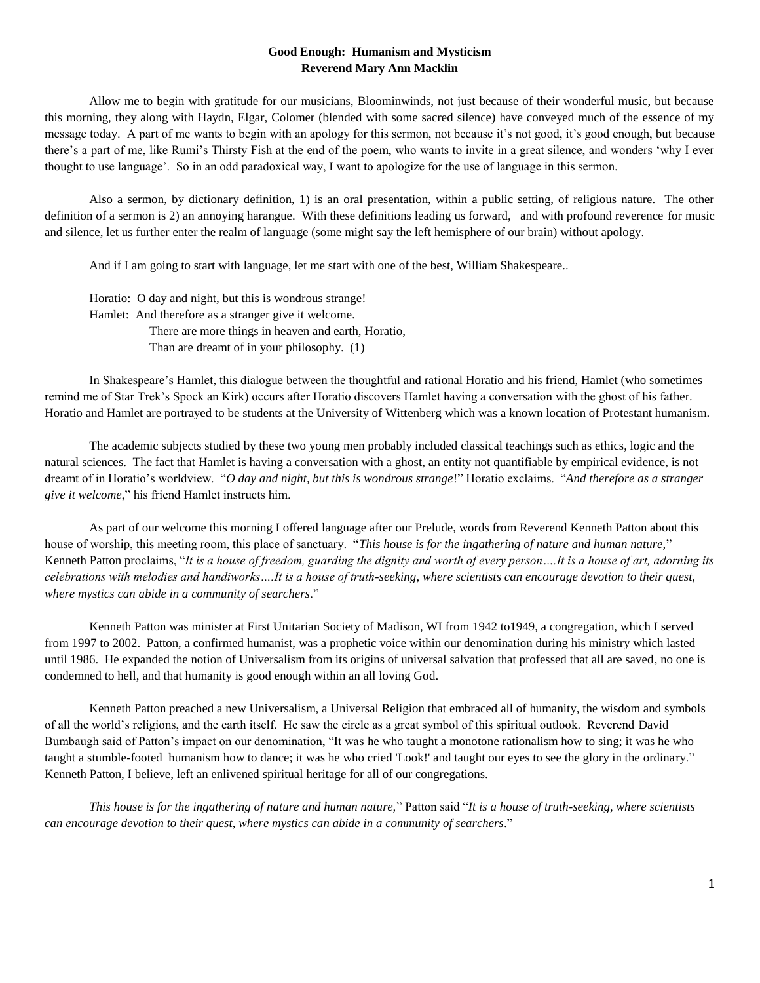## **Good Enough: Humanism and Mysticism Reverend Mary Ann Macklin**

Allow me to begin with gratitude for our musicians, Bloominwinds, not just because of their wonderful music, but because this morning, they along with Haydn, Elgar, Colomer (blended with some sacred silence) have conveyed much of the essence of my message today. A part of me wants to begin with an apology for this sermon, not because it's not good, it's good enough, but because there's a part of me, like Rumi's Thirsty Fish at the end of the poem, who wants to invite in a great silence, and wonders 'why I ever thought to use language'. So in an odd paradoxical way, I want to apologize for the use of language in this sermon.

Also a sermon, by dictionary definition, 1) is an oral presentation, within a public setting, of religious nature. The other definition of a sermon is 2) an annoying harangue. With these definitions leading us forward, and with profound reverence for music and silence, let us further enter the realm of language (some might say the left hemisphere of our brain) without apology.

And if I am going to start with language, let me start with one of the best, William Shakespeare..

Horatio: O day and night, but this is wondrous strange! Hamlet: And therefore as a stranger give it welcome. There are more things in heaven and earth, Horatio, Than are dreamt of in your philosophy. (1)

In Shakespeare's Hamlet, this dialogue between the thoughtful and rational Horatio and his friend, Hamlet (who sometimes remind me of Star Trek's Spock an Kirk) occurs after Horatio discovers Hamlet having a conversation with the ghost of his father. Horatio and Hamlet are portrayed to be students at the University of Wittenberg which was a known location of Protestant humanism.

The academic subjects studied by these two young men probably included classical teachings such as ethics, logic and the natural sciences. The fact that Hamlet is having a conversation with a ghost, an entity not quantifiable by empirical evidence, is not dreamt of in Horatio's worldview. "*O day and night, but this is wondrous strange*!" Horatio exclaims. "*And therefore as a stranger give it welcome*," his friend Hamlet instructs him.

As part of our welcome this morning I offered language after our Prelude, words from Reverend Kenneth Patton about this house of worship, this meeting room, this place of sanctuary. "*This house is for the ingathering of nature and human nature,*" Kenneth Patton proclaims, "*It is a house of freedom, guarding the dignity and worth of every person….It is a house of art, adorning its celebrations with melodies and handiworks….It is a house of truth-seeking, where scientists can encourage devotion to their quest, where mystics can abide in a community of searchers*."

Kenneth Patton was minister at First Unitarian Society of Madison, WI from 1942 to1949, a congregation, which I served from 1997 to 2002. Patton, a confirmed humanist, was a prophetic voice within our denomination during his ministry which lasted until 1986. He expanded the notion of Universalism from its origins of universal salvation that professed that all are saved, no one is condemned to hell, and that humanity is good enough within an all loving God.

Kenneth Patton preached a new Universalism, a Universal Religion that embraced all of humanity, the wisdom and symbols of all the world's religions, and the earth itself. He saw the circle as a great symbol of this spiritual outlook. Reverend David Bumbaugh said of Patton's impact on our denomination, "It was he who taught a monotone rationalism how to sing; it was he who taught a stumble-footed humanism how to dance; it was he who cried 'Look!' and taught our eyes to see the glory in the ordinary." Kenneth Patton, I believe, left an enlivened spiritual heritage for all of our congregations.

*This house is for the ingathering of nature and human nature,*" Patton said "*It is a house of truth-seeking, where scientists can encourage devotion to their quest, where mystics can abide in a community of searchers*."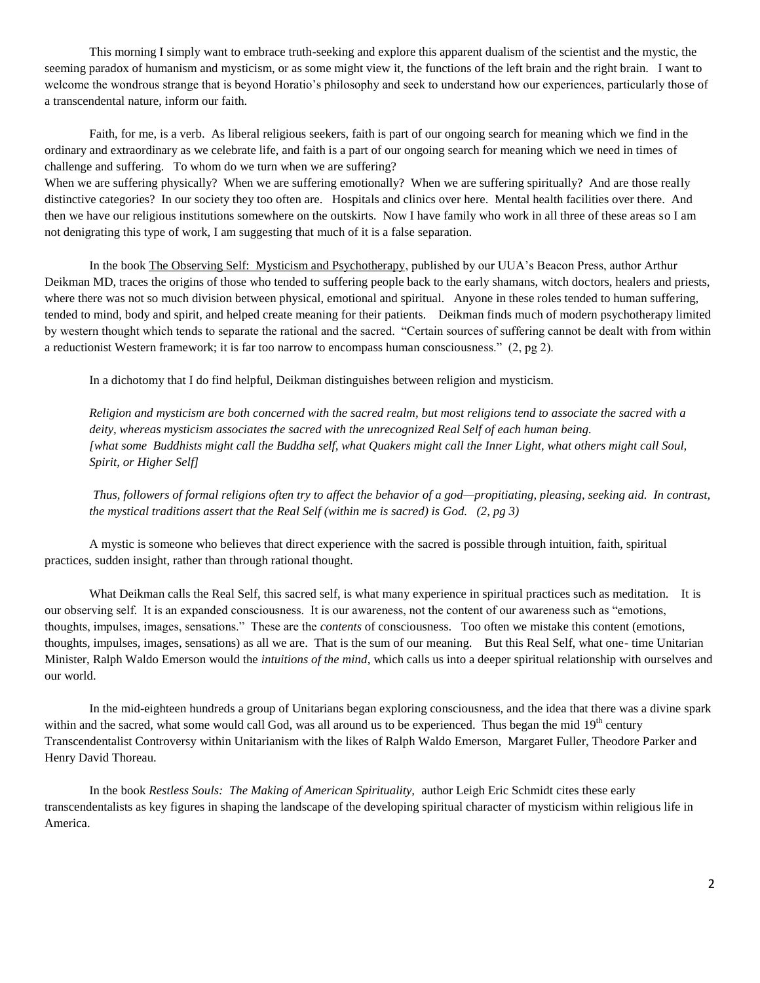This morning I simply want to embrace truth-seeking and explore this apparent dualism of the scientist and the mystic, the seeming paradox of humanism and mysticism, or as some might view it, the functions of the left brain and the right brain. I want to welcome the wondrous strange that is beyond Horatio's philosophy and seek to understand how our experiences, particularly those of a transcendental nature, inform our faith.

Faith, for me, is a verb. As liberal religious seekers, faith is part of our ongoing search for meaning which we find in the ordinary and extraordinary as we celebrate life, and faith is a part of our ongoing search for meaning which we need in times of challenge and suffering. To whom do we turn when we are suffering?

When we are suffering physically? When we are suffering emotionally? When we are suffering spiritually? And are those really distinctive categories? In our society they too often are. Hospitals and clinics over here. Mental health facilities over there. And then we have our religious institutions somewhere on the outskirts. Now I have family who work in all three of these areas so I am not denigrating this type of work, I am suggesting that much of it is a false separation.

In the book The Observing Self: Mysticism and Psychotherapy, published by our UUA's Beacon Press, author Arthur Deikman MD, traces the origins of those who tended to suffering people back to the early shamans, witch doctors, healers and priests, where there was not so much division between physical, emotional and spiritual. Anyone in these roles tended to human suffering, tended to mind, body and spirit, and helped create meaning for their patients. Deikman finds much of modern psychotherapy limited by western thought which tends to separate the rational and the sacred. "Certain sources of suffering cannot be dealt with from within a reductionist Western framework; it is far too narrow to encompass human consciousness." (2, pg 2).

In a dichotomy that I do find helpful, Deikman distinguishes between religion and mysticism.

*Religion and mysticism are both concerned with the sacred realm, but most religions tend to associate the sacred with a deity, whereas mysticism associates the sacred with the unrecognized Real Self of each human being. [what some Buddhists might call the Buddha self, what Quakers might call the Inner Light, what others might call Soul, Spirit, or Higher Self]*

*Thus, followers of formal religions often try to affect the behavior of a god—propitiating, pleasing, seeking aid. In contrast, the mystical traditions assert that the Real Self (within me is sacred) is God. (2, pg 3)*

A mystic is someone who believes that direct experience with the sacred is possible through intuition, faith, spiritual practices, sudden insight, rather than through rational thought.

What Deikman calls the Real Self, this sacred self, is what many experience in spiritual practices such as meditation. It is our observing self. It is an expanded consciousness. It is our awareness, not the content of our awareness such as "emotions, thoughts, impulses, images, sensations." These are the *contents* of consciousness. Too often we mistake this content (emotions, thoughts, impulses, images, sensations) as all we are. That is the sum of our meaning. But this Real Self, what one- time Unitarian Minister, Ralph Waldo Emerson would the *intuitions of the mind*, which calls us into a deeper spiritual relationship with ourselves and our world.

In the mid-eighteen hundreds a group of Unitarians began exploring consciousness, and the idea that there was a divine spark within and the sacred, what some would call God, was all around us to be experienced. Thus began the mid 19<sup>th</sup> century Transcendentalist Controversy within Unitarianism with the likes of Ralph Waldo Emerson, Margaret Fuller, Theodore Parker and Henry David Thoreau.

In the book *Restless Souls: The Making of American Spirituality,* author Leigh Eric Schmidt cites these early transcendentalists as key figures in shaping the landscape of the developing spiritual character of mysticism within religious life in America.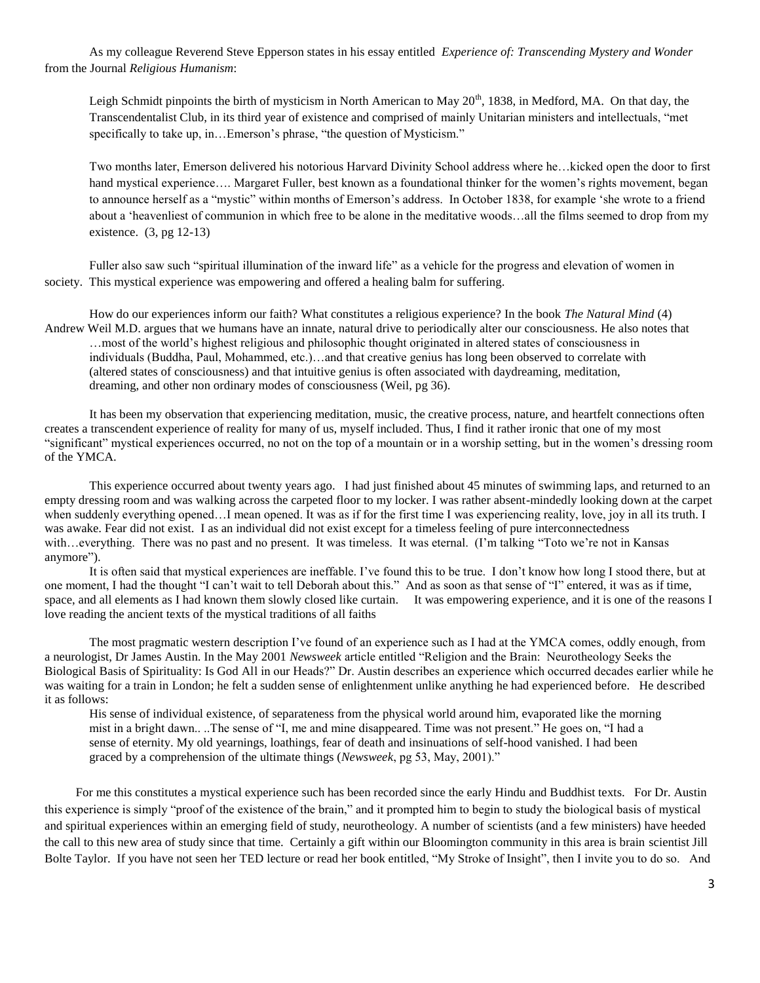As my colleague Reverend Steve Epperson states in his essay entitled *Experience of: Transcending Mystery and Wonder*  from the Journal *Religious Humanism*:

Leigh Schmidt pinpoints the birth of mysticism in North American to May  $20<sup>th</sup>$ , 1838, in Medford, MA. On that day, the Transcendentalist Club, in its third year of existence and comprised of mainly Unitarian ministers and intellectuals, "met specifically to take up, in... Emerson's phrase, "the question of Mysticism."

Two months later, Emerson delivered his notorious Harvard Divinity School address where he…kicked open the door to first hand mystical experience.... Margaret Fuller, best known as a foundational thinker for the women's rights movement, began to announce herself as a "mystic" within months of Emerson's address. In October 1838, for example 'she wrote to a friend about a 'heavenliest of communion in which free to be alone in the meditative woods…all the films seemed to drop from my existence. (3, pg 12-13)

Fuller also saw such "spiritual illumination of the inward life" as a vehicle for the progress and elevation of women in society. This mystical experience was empowering and offered a healing balm for suffering.

How do our experiences inform our faith? What constitutes a religious experience? In the book *The Natural Mind* (4) Andrew Weil M.D. argues that we humans have an innate, natural drive to periodically alter our consciousness. He also notes that …most of the world's highest religious and philosophic thought originated in altered states of consciousness in individuals (Buddha, Paul, Mohammed, etc.)…and that creative genius has long been observed to correlate with (altered states of consciousness) and that intuitive genius is often associated with daydreaming, meditation, dreaming, and other non ordinary modes of consciousness (Weil, pg 36).

It has been my observation that experiencing meditation, music, the creative process, nature, and heartfelt connections often creates a transcendent experience of reality for many of us, myself included. Thus, I find it rather ironic that one of my most "significant" mystical experiences occurred, no not on the top of a mountain or in a worship setting, but in the women's dressing room of the YMCA.

This experience occurred about twenty years ago. I had just finished about 45 minutes of swimming laps, and returned to an empty dressing room and was walking across the carpeted floor to my locker. I was rather absent-mindedly looking down at the carpet when suddenly everything opened. I mean opened. It was as if for the first time I was experiencing reality, love, joy in all its truth. I was awake. Fear did not exist. I as an individual did not exist except for a timeless feeling of pure interconnectedness with…everything. There was no past and no present. It was timeless. It was eternal. (I'm talking "Toto we're not in Kansas anymore").

It is often said that mystical experiences are ineffable. I've found this to be true. I don't know how long I stood there, but at one moment, I had the thought "I can't wait to tell Deborah about this." And as soon as that sense of "I" entered, it was as if time, space, and all elements as I had known them slowly closed like curtain. It was empowering experience, and it is one of the reasons I love reading the ancient texts of the mystical traditions of all faiths

The most pragmatic western description I've found of an experience such as I had at the YMCA comes, oddly enough, from a neurologist, Dr James Austin. In the May 2001 *Newsweek* article entitled "Religion and the Brain: Neurotheology Seeks the Biological Basis of Spirituality: Is God All in our Heads?" Dr. Austin describes an experience which occurred decades earlier while he was waiting for a train in London; he felt a sudden sense of enlightenment unlike anything he had experienced before. He described it as follows:

His sense of individual existence, of separateness from the physical world around him, evaporated like the morning mist in a bright dawn.. ..The sense of "I, me and mine disappeared. Time was not present." He goes on, "I had a sense of eternity. My old yearnings, loathings, fear of death and insinuations of self-hood vanished. I had been graced by a comprehension of the ultimate things (*Newsweek*, pg 53, May, 2001)."

 For me this constitutes a mystical experience such has been recorded since the early Hindu and Buddhist texts. For Dr. Austin this experience is simply "proof of the existence of the brain," and it prompted him to begin to study the biological basis of mystical and spiritual experiences within an emerging field of study, neurotheology. A number of scientists (and a few ministers) have heeded the call to this new area of study since that time. Certainly a gift within our Bloomington community in this area is brain scientist Jill Bolte Taylor. If you have not seen her TED lecture or read her book entitled, "My Stroke of Insight", then I invite you to do so. And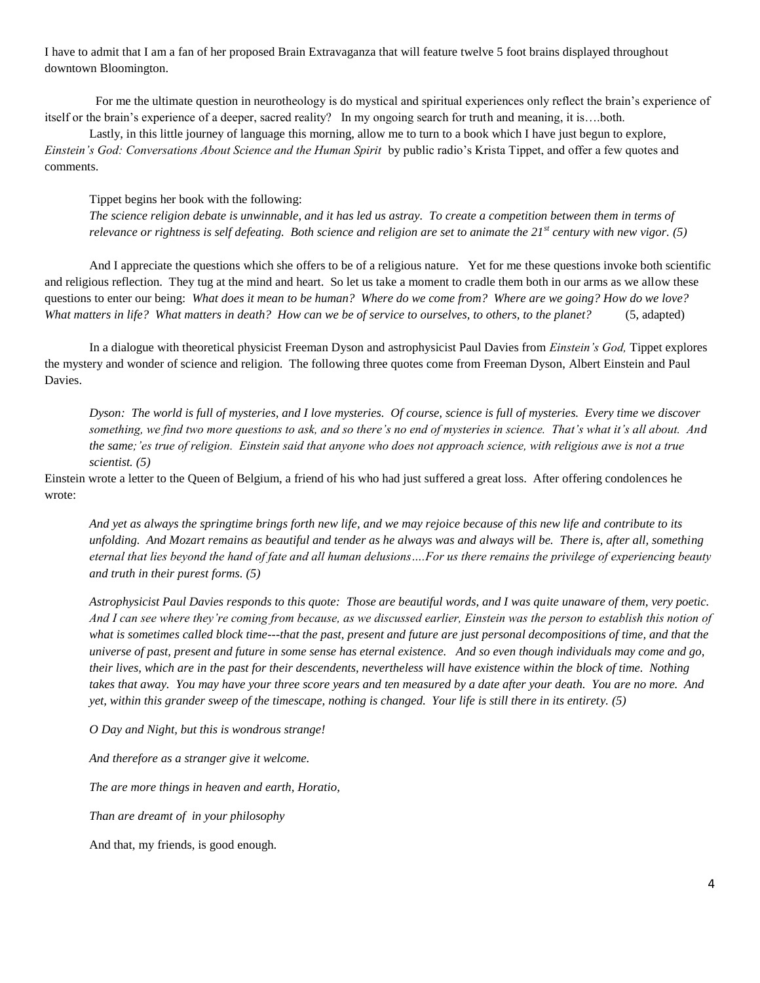I have to admit that I am a fan of her proposed Brain Extravaganza that will feature twelve 5 foot brains displayed throughout downtown Bloomington.

 For me the ultimate question in neurotheology is do mystical and spiritual experiences only reflect the brain's experience of itself or the brain's experience of a deeper, sacred reality? In my ongoing search for truth and meaning, it is….both.

Lastly, in this little journey of language this morning, allow me to turn to a book which I have just begun to explore, *Einstein's God: Conversations About Science and the Human Spirit* by public radio's Krista Tippet, and offer a few quotes and comments.

Tippet begins her book with the following:

*The science religion debate is unwinnable, and it has led us astray. To create a competition between them in terms of relevance or rightness is self defeating. Both science and religion are set to animate the 21st century with new vigor. (5)*

And I appreciate the questions which she offers to be of a religious nature. Yet for me these questions invoke both scientific and religious reflection. They tug at the mind and heart. So let us take a moment to cradle them both in our arms as we allow these questions to enter our being: *What does it mean to be human? Where do we come from? Where are we going? How do we love? What matters in life? What matters in death? How can we be of service to ourselves, to others, to the planet?* (5, adapted)

In a dialogue with theoretical physicist Freeman Dyson and astrophysicist Paul Davies from *Einstein's God,* Tippet explores the mystery and wonder of science and religion. The following three quotes come from Freeman Dyson, Albert Einstein and Paul Davies.

*Dyson: The world is full of mysteries, and I love mysteries. Of course, science is full of mysteries. Every time we discover something, we find two more questions to ask, and so there's no end of mysteries in science. That's what it's all about. And the same;'es true of religion. Einstein said that anyone who does not approach science, with religious awe is not a true scientist. (5)*

Einstein wrote a letter to the Queen of Belgium, a friend of his who had just suffered a great loss. After offering condolences he wrote:

*And yet as always the springtime brings forth new life, and we may rejoice because of this new life and contribute to its unfolding. And Mozart remains as beautiful and tender as he always was and always will be. There is, after all, something eternal that lies beyond the hand of fate and all human delusions….For us there remains the privilege of experiencing beauty and truth in their purest forms. (5)*

*Astrophysicist Paul Davies responds to this quote: Those are beautiful words, and I was quite unaware of them, very poetic. And I can see where they're coming from because, as we discussed earlier, Einstein was the person to establish this notion of what is sometimes called block time---that the past, present and future are just personal decompositions of time, and that the universe of past, present and future in some sense has eternal existence. And so even though individuals may come and go, their lives, which are in the past for their descendents, nevertheless will have existence within the block of time. Nothing takes that away. You may have your three score years and ten measured by a date after your death. You are no more. And yet, within this grander sweep of the timescape, nothing is changed. Your life is still there in its entirety. (5)*

*O Day and Night, but this is wondrous strange!*

*And therefore as a stranger give it welcome.*

*The are more things in heaven and earth, Horatio,*

*Than are dreamt of in your philosophy*

And that, my friends, is good enough.